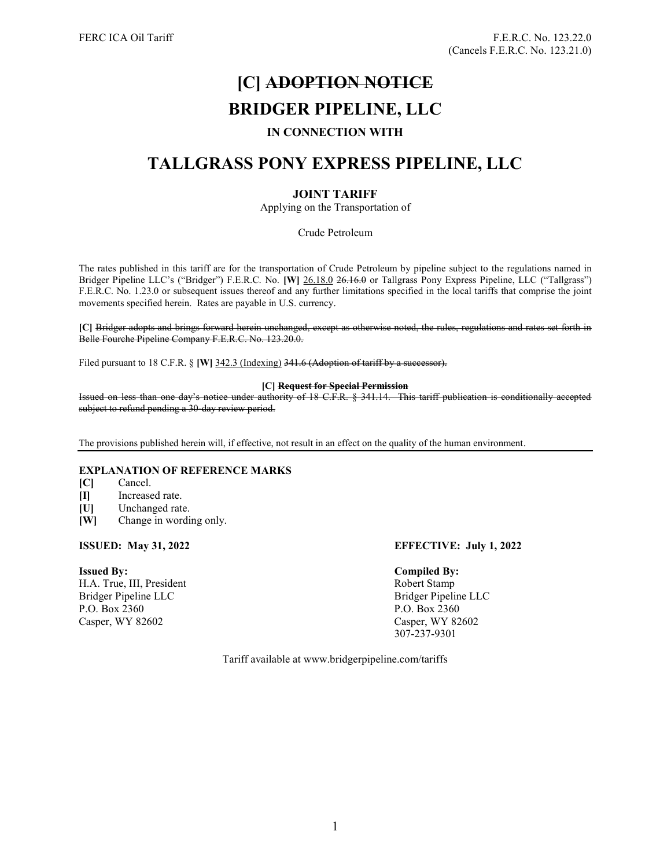# [C] ADOPTION NOTICE

# BRIDGER PIPELINE, LLC

### IN CONNECTION WITH

## TALLGRASS PONY EXPRESS PIPELINE, LLC

### JOINT TARIFF

Applying on the Transportation of

Crude Petroleum

The rates published in this tariff are for the transportation of Crude Petroleum by pipeline subject to the regulations named in Bridger Pipeline LLC's ("Bridger") F.E.R.C. No. [W] 26.18.0 26.16.0 or Tallgrass Pony Express Pipeline, LLC ("Tallgrass") F.E.R.C. No. 1.23.0 or subsequent issues thereof and any further limitations specified in the local tariffs that comprise the joint movements specified herein. Rates are payable in U.S. currency.

[C] Bridger adopts and brings forward herein unchanged, except as otherwise noted, the rules, regulations and rates set forth in Belle Fourche Pipeline Company F.E.R.C. No. 123.20.0.

Filed pursuant to 18 C.F.R. § [W] 342.3 (Indexing) 341.6 (Adoption of tariff by a successor).

#### [C] Request for Special Permission

Issued on less than one day's notice under authority of 18 C.F.R. § 341.14. This tariff publication is conditionally accepted subject to refund pending a 30-day review period.

The provisions published herein will, if effective, not result in an effect on the quality of the human environment.

#### EXPLANATION OF REFERENCE MARKS

- [C] Cancel.
- [I] Increased rate.
- [U] Unchanged rate.
- [W] Change in wording only.

H.A. True, III, President Robert Stamp Bridger Pipeline LLC Bridger Pipeline LLC P.O. Box 2360 P.O. Box 2360 Casper, WY 82602 Casper, WY 82602

#### ISSUED: May 31, 2022 EFFECTIVE: July 1, 2022

#### Issued By: Compiled By:

307-237-9301

Tariff available at www.bridgerpipeline.com/tariffs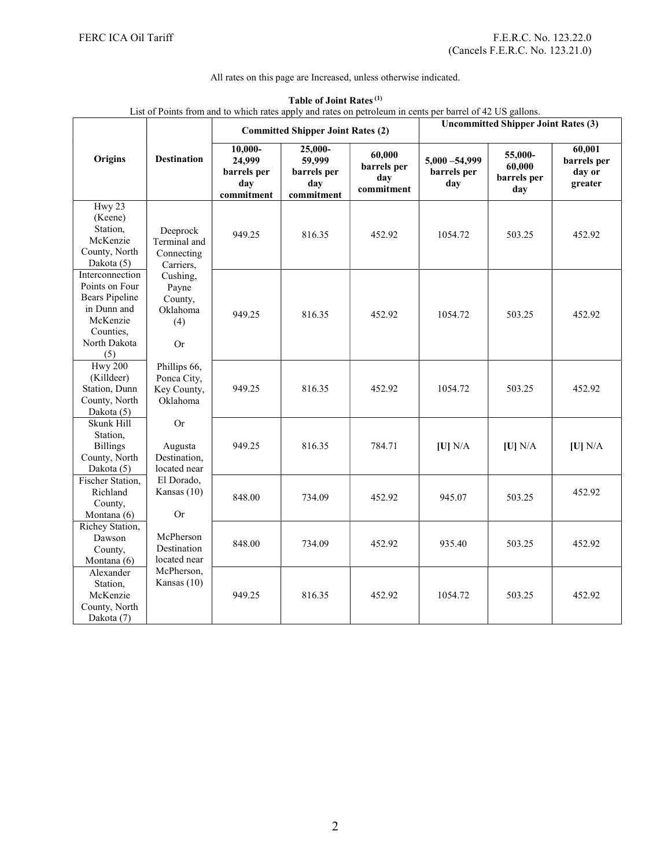### All rates on this page are Increased, unless otherwise indicated.

| List of Points from and to which rates apply and rates on petroleum in cents per barrel of 42 US gallons.                 |                                                                                                                     |                                                       |                                                       |                                            |                                            |                                         |                                            |  |  |
|---------------------------------------------------------------------------------------------------------------------------|---------------------------------------------------------------------------------------------------------------------|-------------------------------------------------------|-------------------------------------------------------|--------------------------------------------|--------------------------------------------|-----------------------------------------|--------------------------------------------|--|--|
|                                                                                                                           | <b>Destination</b>                                                                                                  | <b>Committed Shipper Joint Rates (2)</b>              |                                                       |                                            | <b>Uncommitted Shipper Joint Rates (3)</b> |                                         |                                            |  |  |
| Origins                                                                                                                   |                                                                                                                     | 10,000-<br>24,999<br>barrels per<br>day<br>commitment | 25,000-<br>59,999<br>barrels per<br>day<br>commitment | 60,000<br>barrels per<br>day<br>commitment | $5,000 - 54,999$<br>barrels per<br>day     | 55,000-<br>60,000<br>barrels per<br>day | 60,001<br>barrels per<br>day or<br>greater |  |  |
| Hwy 23<br>(Keene)<br>Station,<br>McKenzie<br>County, North<br>Dakota (5)                                                  | Deeprock<br>Terminal and<br>Connecting<br>Carriers,<br>Cushing,<br>Payne<br>County,<br>Oklahoma<br>(4)<br><b>Or</b> | 949.25                                                | 816.35                                                | 452.92                                     | 1054.72                                    | 503.25                                  | 452.92                                     |  |  |
| Interconnection<br>Points on Four<br><b>Bears Pipeline</b><br>in Dunn and<br>McKenzie<br>Counties,<br>North Dakota<br>(5) |                                                                                                                     | 949.25                                                | 816.35                                                | 452.92                                     | 1054.72                                    | 503.25                                  | 452.92                                     |  |  |
| <b>Hwy 200</b><br>(Killdeer)<br>Station, Dunn<br>County, North<br>Dakota (5)                                              | Phillips 66,<br>Ponca City,<br>Key County,<br>Oklahoma                                                              | 949.25                                                | 816.35                                                | 452.92                                     | 1054.72                                    | 503.25                                  | 452.92                                     |  |  |
| Skunk Hill<br>Station,<br><b>Billings</b><br>County, North<br>Dakota (5)                                                  | <b>Or</b><br>Augusta<br>Destination,<br>located near                                                                | 949.25                                                | 816.35                                                | 784.71                                     | [U] N/A                                    | [U] N/A                                 | [U] N/A                                    |  |  |
| Fischer Station,<br>Richland<br>County,<br>Montana (6)                                                                    | El Dorado,<br>Kansas (10)<br><b>Or</b>                                                                              | 848.00                                                | 734.09                                                | 452.92                                     | 945.07                                     | 503.25                                  | 452.92                                     |  |  |
| Richey Station,<br>Dawson<br>County,<br>Montana (6)                                                                       | McPherson<br>Destination<br>located near                                                                            | 848.00                                                | 734.09                                                | 452.92                                     | 935.40                                     | 503.25                                  | 452.92                                     |  |  |
| Alexander<br>Station.<br>McKenzie<br>County, North<br>Dakota (7)                                                          | McPherson,<br>Kansas (10)                                                                                           | 949.25                                                | 816.35                                                | 452.92                                     | 1054.72                                    | 503.25                                  | 452.92                                     |  |  |

#### Table of Joint Rates (1)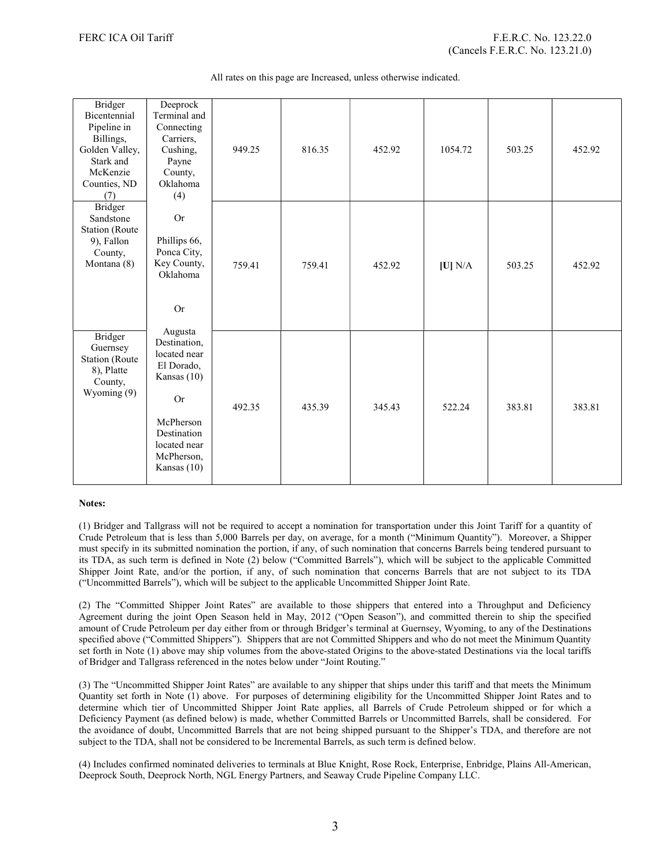|  |  |  | All rates on this page are Increased, unless otherwise indicated. |
|--|--|--|-------------------------------------------------------------------|
|  |  |  |                                                                   |

| <b>Bridger</b><br>Bicentennial<br>Pipeline in<br>Billings,<br>Golden Valley,<br>Stark and<br>McKenzie<br>Counties, ND<br>(7) | Deeprock<br>Terminal and<br>Connecting<br>Carriers,<br>Cushing,<br>Payne<br>County,<br>Oklahoma<br>(4)                                          | 949.25 | 816.35 | 452.92 | 1054.72 | 503.25 | 452.92 |
|------------------------------------------------------------------------------------------------------------------------------|-------------------------------------------------------------------------------------------------------------------------------------------------|--------|--------|--------|---------|--------|--------|
| <b>Bridger</b><br>Sandstone<br><b>Station</b> (Route<br>9), Fallon<br>County,<br>Montana (8)                                 | <b>Or</b><br>Phillips 66,<br>Ponca City,<br>Key County,<br>Oklahoma<br>Or<br>Augusta                                                            | 759.41 | 759.41 | 452.92 | [U] N/A | 503.25 | 452.92 |
| <b>Bridger</b><br>Guernsey<br><b>Station</b> (Route<br>8), Platte<br>County,<br>Wyoming (9)                                  | Destination,<br>located near<br>El Dorado,<br>Kansas (10)<br><b>Or</b><br>McPherson<br>Destination<br>located near<br>McPherson,<br>Kansas (10) | 492.35 | 435.39 | 345.43 | 522.24  | 383.81 | 383.81 |

#### Notes:

(1) Bridger and Tallgrass will not be required to accept a nomination for transportation under this Joint Tariff for a quantity of Crude Petroleum that is less than 5,000 Barrels per day, on average, for a month ("Minimum Quantity"). Moreover, a Shipper must specify in its submitted nomination the portion, if any, of such nomination that concerns Barrels being tendered pursuant to its TDA, as such term is defined in Note (2) below ("Committed Barrels"), which will be subject to the applicable Committed Shipper Joint Rate, and/or the portion, if any, of such nomination that concerns Barrels that are not subject to its TDA ("Uncommitted Barrels"), which will be subject to the applicable Uncommitted Shipper Joint Rate.

(2) The "Committed Shipper Joint Rates" are available to those shippers that entered into a Throughput and Deficiency Agreement during the joint Open Season held in May, 2012 ("Open Season"), and committed therein to ship the specified amount of Crude Petroleum per day either from or through Bridger's terminal at Guernsey, Wyoming, to any of the Destinations specified above ("Committed Shippers"). Shippers that are not Committed Shippers and who do not meet the Minimum Quantity set forth in Note (1) above may ship volumes from the above-stated Origins to the above-stated Destinations via the local tariffs of Bridger and Tallgrass referenced in the notes below under "Joint Routing."

(3) The "Uncommitted Shipper Joint Rates" are available to any shipper that ships under this tariff and that meets the Minimum Quantity set forth in Note (1) above. For purposes of determining eligibility for the Uncommitted Shipper Joint Rates and to determine which tier of Uncommitted Shipper Joint Rate applies, all Barrels of Crude Petroleum shipped or for which a Deficiency Payment (as defined below) is made, whether Committed Barrels or Uncommitted Barrels, shall be considered. For the avoidance of doubt, Uncommitted Barrels that are not being shipped pursuant to the Shipper's TDA, and therefore are not subject to the TDA, shall not be considered to be Incremental Barrels, as such term is defined below.

(4) Includes confirmed nominated deliveries to terminals at Blue Knight, Rose Rock, Enterprise, Enbridge, Plains All-American, Deeprock South, Deeprock North, NGL Energy Partners, and Seaway Crude Pipeline Company LLC.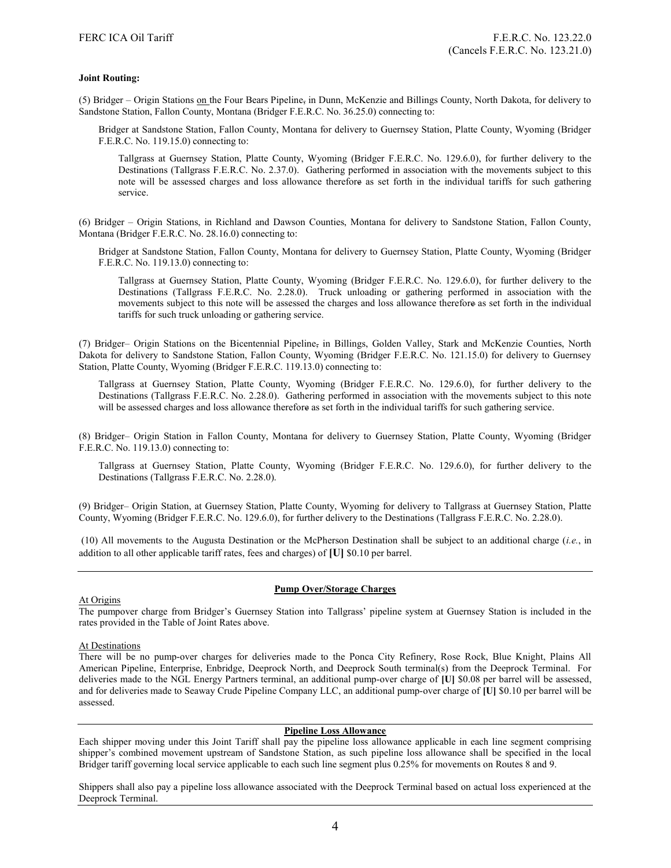#### Joint Routing:

(5) Bridger – Origin Stations on the Four Bears Pipeline, in Dunn, McKenzie and Billings County, North Dakota, for delivery to Sandstone Station, Fallon County, Montana (Bridger F.E.R.C. No. 36.25.0) connecting to:

Bridger at Sandstone Station, Fallon County, Montana for delivery to Guernsey Station, Platte County, Wyoming (Bridger F.E.R.C. No. 119.15.0) connecting to:

Tallgrass at Guernsey Station, Platte County, Wyoming (Bridger F.E.R.C. No. 129.6.0), for further delivery to the Destinations (Tallgrass F.E.R.C. No. 2.37.0). Gathering performed in association with the movements subject to this note will be assessed charges and loss allowance therefore as set forth in the individual tariffs for such gathering service.

(6) Bridger – Origin Stations, in Richland and Dawson Counties, Montana for delivery to Sandstone Station, Fallon County, Montana (Bridger F.E.R.C. No. 28.16.0) connecting to:

Bridger at Sandstone Station, Fallon County, Montana for delivery to Guernsey Station, Platte County, Wyoming (Bridger F.E.R.C. No. 119.13.0) connecting to:

Tallgrass at Guernsey Station, Platte County, Wyoming (Bridger F.E.R.C. No. 129.6.0), for further delivery to the Destinations (Tallgrass F.E.R.C. No. 2.28.0). Truck unloading or gathering performed in association with the movements subject to this note will be assessed the charges and loss allowance therefore as set forth in the individual tariffs for such truck unloading or gathering service.

(7) Bridger– Origin Stations on the Bicentennial Pipeline, in Billings, Golden Valley, Stark and McKenzie Counties, North Dakota for delivery to Sandstone Station, Fallon County, Wyoming (Bridger F.E.R.C. No. 121.15.0) for delivery to Guernsey Station, Platte County, Wyoming (Bridger F.E.R.C. 119.13.0) connecting to:

Tallgrass at Guernsey Station, Platte County, Wyoming (Bridger F.E.R.C. No. 129.6.0), for further delivery to the Destinations (Tallgrass F.E.R.C. No. 2.28.0). Gathering performed in association with the movements subject to this note will be assessed charges and loss allowance therefore as set forth in the individual tariffs for such gathering service.

(8) Bridger– Origin Station in Fallon County, Montana for delivery to Guernsey Station, Platte County, Wyoming (Bridger F.E.R.C. No. 119.13.0) connecting to:

Tallgrass at Guernsey Station, Platte County, Wyoming (Bridger F.E.R.C. No. 129.6.0), for further delivery to the Destinations (Tallgrass F.E.R.C. No. 2.28.0).

(9) Bridger– Origin Station, at Guernsey Station, Platte County, Wyoming for delivery to Tallgrass at Guernsey Station, Platte County, Wyoming (Bridger F.E.R.C. No. 129.6.0), for further delivery to the Destinations (Tallgrass F.E.R.C. No. 2.28.0).

 (10) All movements to the Augusta Destination or the McPherson Destination shall be subject to an additional charge (i.e., in addition to all other applicable tariff rates, fees and charges) of [U] \$0.10 per barrel.

#### Pump Over/Storage Charges

#### At Origins

The pumpover charge from Bridger's Guernsey Station into Tallgrass' pipeline system at Guernsey Station is included in the rates provided in the Table of Joint Rates above.

#### At Destinations

There will be no pump-over charges for deliveries made to the Ponca City Refinery, Rose Rock, Blue Knight, Plains All American Pipeline, Enterprise, Enbridge, Deeprock North, and Deeprock South terminal(s) from the Deeprock Terminal. For deliveries made to the NGL Energy Partners terminal, an additional pump-over charge of [U] \$0.08 per barrel will be assessed, and for deliveries made to Seaway Crude Pipeline Company LLC, an additional pump-over charge of [U] \$0.10 per barrel will be assessed.

#### Pipeline Loss Allowance

Each shipper moving under this Joint Tariff shall pay the pipeline loss allowance applicable in each line segment comprising shipper's combined movement upstream of Sandstone Station, as such pipeline loss allowance shall be specified in the local Bridger tariff governing local service applicable to each such line segment plus 0.25% for movements on Routes 8 and 9.

Shippers shall also pay a pipeline loss allowance associated with the Deeprock Terminal based on actual loss experienced at the Deeprock Terminal.